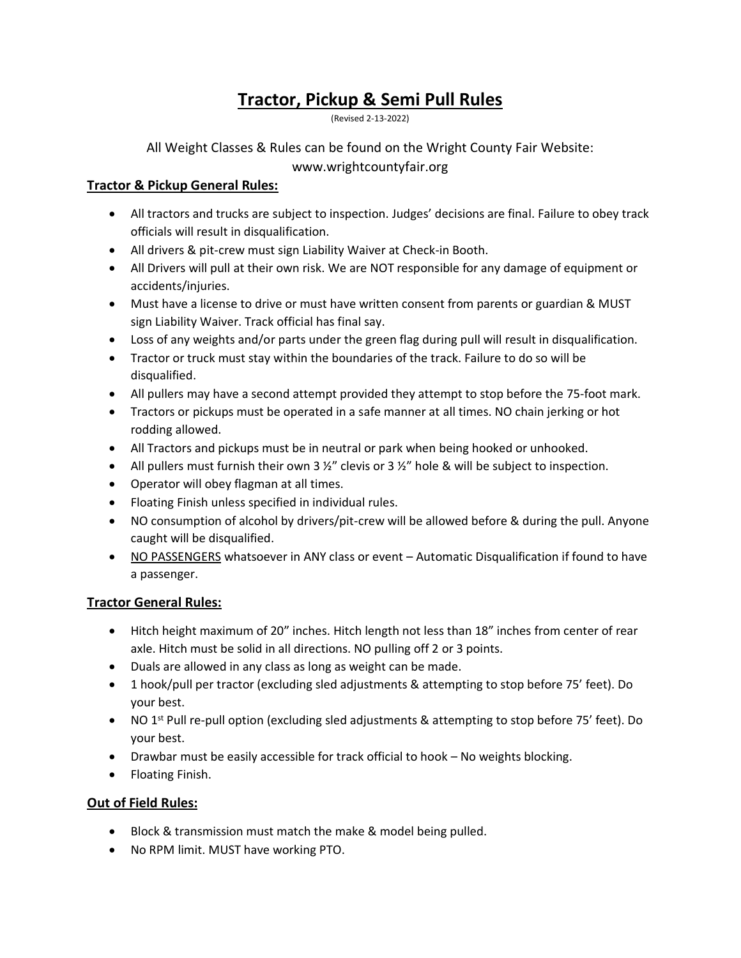# **Tractor, Pickup & Semi Pull Rules**

(Revised 2-13-2022)

All Weight Classes & Rules can be found on the Wright County Fair Website: www.wrightcountyfair.org

## **Tractor & Pickup General Rules:**

- All tractors and trucks are subject to inspection. Judges' decisions are final. Failure to obey track officials will result in disqualification.
- All drivers & pit-crew must sign Liability Waiver at Check-in Booth.
- All Drivers will pull at their own risk. We are NOT responsible for any damage of equipment or accidents/injuries.
- Must have a license to drive or must have written consent from parents or guardian & MUST sign Liability Waiver. Track official has final say.
- Loss of any weights and/or parts under the green flag during pull will result in disqualification.
- Tractor or truck must stay within the boundaries of the track. Failure to do so will be disqualified.
- All pullers may have a second attempt provided they attempt to stop before the 75-foot mark.
- Tractors or pickups must be operated in a safe manner at all times. NO chain jerking or hot rodding allowed.
- All Tractors and pickups must be in neutral or park when being hooked or unhooked.
- All pullers must furnish their own 3  $\frac{1}{2}$ " clevis or 3  $\frac{1}{2}$ " hole & will be subject to inspection.
- Operator will obey flagman at all times.
- Floating Finish unless specified in individual rules.
- NO consumption of alcohol by drivers/pit-crew will be allowed before & during the pull. Anyone caught will be disqualified.
- NO PASSENGERS whatsoever in ANY class or event Automatic Disqualification if found to have a passenger.

### **Tractor General Rules:**

- Hitch height maximum of 20" inches. Hitch length not less than 18" inches from center of rear axle. Hitch must be solid in all directions. NO pulling off 2 or 3 points.
- Duals are allowed in any class as long as weight can be made.
- 1 hook/pull per tractor (excluding sled adjustments & attempting to stop before 75' feet). Do your best.
- NO 1<sup>st</sup> Pull re-pull option (excluding sled adjustments & attempting to stop before 75' feet). Do your best.
- Drawbar must be easily accessible for track official to hook No weights blocking.
- Floating Finish.

## **Out of Field Rules:**

- Block & transmission must match the make & model being pulled.
- No RPM limit. MUST have working PTO.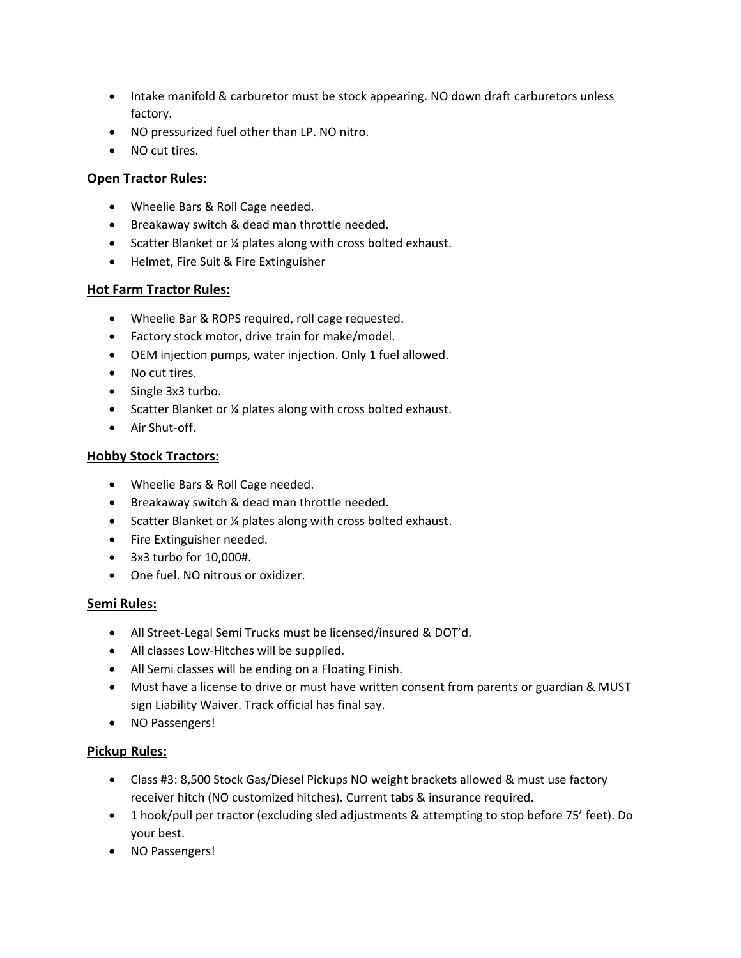- Intake manifold & carburetor must be stock appearing. NO down draft carburetors unless factory.
- NO pressurized fuel other than LP. NO nitro.
- NO cut tires.

### **Open Tractor Rules:**

- Wheelie Bars & Roll Cage needed.
- Breakaway switch & dead man throttle needed.
- Scatter Blanket or 14 plates along with cross bolted exhaust.
- Helmet, Fire Suit & Fire Extinguisher

### **Hot Farm Tractor Rules:**

- Wheelie Bar & ROPS required, roll cage requested.
- Factory stock motor, drive train for make/model.
- OEM injection pumps, water injection. Only 1 fuel allowed.
- No cut tires.
- Single 3x3 turbo.
- Scatter Blanket or 14 plates along with cross bolted exhaust.
- Air Shut-off.

#### **Hobby Stock Tractors:**

- Wheelie Bars & Roll Cage needed.
- Breakaway switch & dead man throttle needed.
- Scatter Blanket or 14 plates along with cross bolted exhaust.
- Fire Extinguisher needed.
- 3x3 turbo for 10,000#.
- One fuel. NO nitrous or oxidizer.

#### **Semi Rules:**

- All Street-Legal Semi Trucks must be licensed/insured & DOT'd.
- All classes Low-Hitches will be supplied.
- All Semi classes will be ending on a Floating Finish.
- Must have a license to drive or must have written consent from parents or guardian & MUST sign Liability Waiver. Track official has final say.
- NO Passengers!

### **Pickup Rules:**

- Class #3: 8,500 Stock Gas/Diesel Pickups NO weight brackets allowed & must use factory receiver hitch (NO customized hitches). Current tabs & insurance required.
- 1 hook/pull per tractor (excluding sled adjustments & attempting to stop before 75' feet). Do your best.
- NO Passengers!